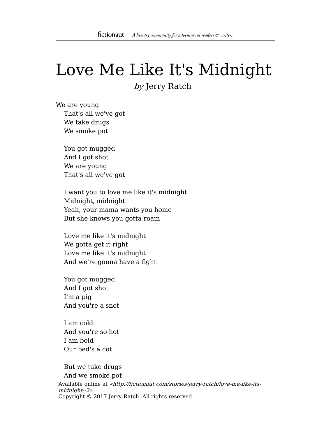## Love Me Like It's Midnight by Jerry Ratch

We are young That's all we've got We take drugs We smoke pot

> You got mugged And I got shot We are young That's all we've got

I want you to love me like it's midnight Midnight, midnight Yeah, your mama wants you home But she knows you gotta roam

Love me like it's midnight We gotta get it right Love me like it's midnight And we're gonna have a fight

You got mugged And I got shot I'm a pig And you're a snot

I am cold And you're so hot I am bold Our bed's a cot

But we take drugs And we smoke pot

Available online at «http://fictionaut.com/stories/jerry-ratch/love-me-like-itsmidnight--2» Copyright © 2017 Jerry Ratch. All rights reserved.